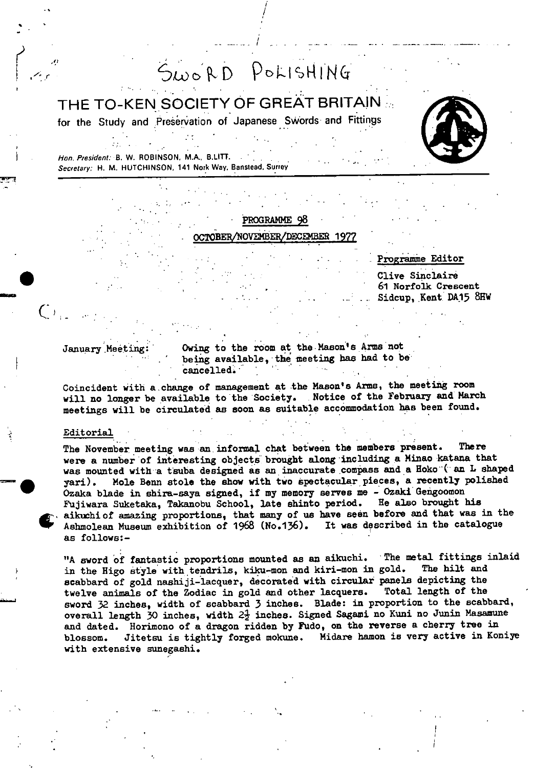# SWORD POLISHING

THE TO-KEN SOCIETY OF GREAT BRITAIN ...

for the Study and Preservation of Japanese Swords and Fittings



Hon. President: B. W. ROBINSON, M.A., B.LITT. Secretary: H. M. HUTCHINSON, 141 Nork Way, Banstead. Surrey

# PROGRAMME 98 BEWN0VE}48ER/flER 1977

# Programme Editor

Clive Sinclair 61 Norfolk Crescent Sidcup, Kent. DA15 8HW

January Meeting: Owing to the room at the Mason's Arms not being available, the meeting has had to be cancelled.

Coincident with a change of management at the Mason's Arms, the meeting room will no longer be available to the Society. Notice of the February and March meetings will be circulated as soon as suitable accommodation has been found.

### Editorial

**'**

The November meeting was an informal chat between the members present. There were a number of interesting objects brought along 'including a Minao katana that was mounted with a tsuba designed as an inaccurate compass and a Hoko ( an L shaped yari). Mole Berm stole the show with two spectacular pieces, a recently polished Ozaka blade in shira-saya signed, if my memory serves me - Ozaki Gengoomon<br>Fujiwara Suketaka, Takanobu School, late shinto period. He also brought his Fujiwara Suketaka, Takanobu School, late shinto period. aikuchi of amazing proportions, that many of us have seen before and that was in the Ashmolean Museum exhibition of 1968 (No.136). It was described in the catalogue Ashmolean Museum exhibition of 1968 (No.136). as follows:-

"A sword of fantastic proportions mounted as an aikuchi. The metal fittings inlaid<br>in the Higo style with tendrils, kiku-mon and kiri-mon in gold. The hilt and in the Higo style with tendrils, kiku-mon and kiri-mon in gold. scabbard of gold nashiji-lacquer, decorated with circular panels depicting the twelve animals of the Zodiac in gold and other lacquers. Total length of the sword 32 inches, width of scabbard 3 inches. Blade: in proportion to the scabbard, overall length 30 inches, width  $2\frac{1}{2}$  inches. Signed Sagami no Kuni no Junin Masamune and dated. Horimono of a dragon ridden by Fudo, on the reverse a cherry tree in blossom. Jitetsu is tightly forged mokune. Midare hamon is very active in Koniye with extensive sunegashi.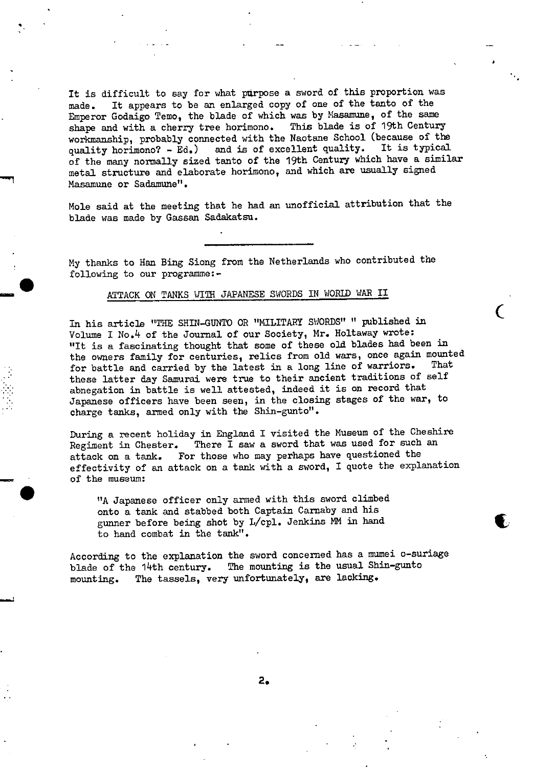It is difficult to say for what purpose a sword of this proportion was made. It appears to be an enlarged copy of one of the tanto of the Emperor Godaigo Temo, the blade of which was by Masamune, of the same shape and with a cherry tree horimono. This blade is of 19th Century shape and with a cherry tree horimono. workmanship, probably connected with the Naotane School (because of the quality horimono? - Ed.) and is of excellent quality. It is typical of the many normally sized tanto of the 19th Century which have a similar metal structure and elaborate horimono, and which are usually signed Masamune or Sadamune".

۰

Mole said at the meeting that he had an unofficial attribution that the blade was made by Gassan Sadakatsu.

My thanks to Han Bing Siong from the Netherlands who contributed the following to our programme: -

# ATTACK ON TANKS WITH JAPANESE SWORDS IN WORLD WAR II

In his article "THE SHIN-GUNTO OR "MILITARY SWORDS" " piblished in Volume I No.4 of the Journal of our Society, Mr. Holtaway wrote: "It is a fascinating thought that some of these old blades had been in the owners family for centuries, relics from old wars, once again mounted<br>family in a convincibly the latest in a long line of warriors. That for battle and carried by the latest in a long line of warriors. these latter day Samurai were true to their ancient traditions of self abnegation in battle is well attested, indeed it is on record that • Japanese officers have been seen, in the closing stages of the war, to charge tanks, armed only with the Shin-gunto".

During a recent holiday in England I visited the Museum of the Cheshire Regiment in Chester. There I saw a sword that was used for such an attack on a tank. For those who may perhaps have questioned the effectivity of an attack on a tank with a sword, I quote the explanation ' of the museum:

"A Japanese officer only armed with this sword climbed onto a tank and stabbed both Captain Carnaby and his gunner before being shot by L/cpl. Jenkins MM in hand to hand combat in the tank".

According to the explanation the sword concerned has a mumei o-suriage blade of the 14th century. The mounting is the usual Shin-gunto mounting. The tassels, very unfortunately, are lacking.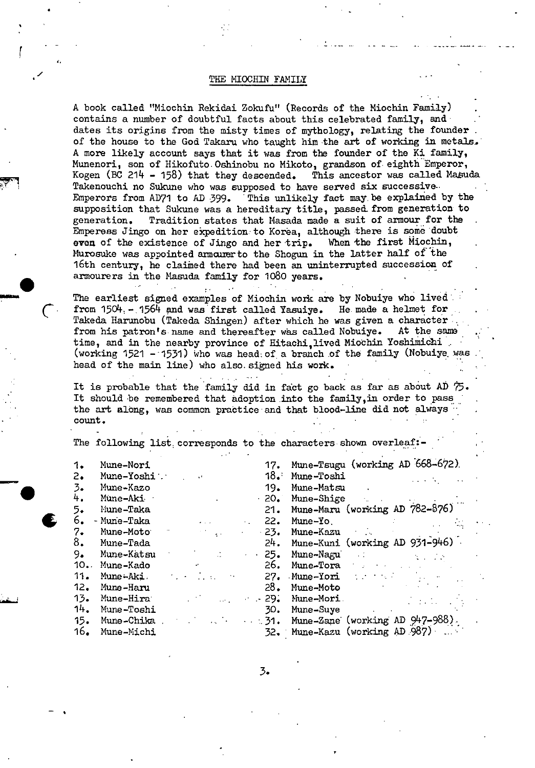# THE MIOCHIN FAMILY

A book called "Miochin Rekidai Zokufu" (Records of the Miochin Family) contains a number of doubtful facts about this celebrated family, and dates its origins from the misty times of mythology, relating the founder of the house to the God Takaru who taught him the art of working in metals. A more likely account says that it was from the founder of the Ri family, • Munenori, son of Hikofuto. Oshinobu no Mikoto, grandson of eighth Emperor, Kogen (BC 214 - 158) that they descended. This ancestor was called Masuda Takenouchi no Sukune who was supposed to have served six successive-Emperors from AD7I to AD 399. This unlikely fact may. be explained by the supposition that Sukune was a hereditary title, passed from generation to generation. Tradition states that Masada made a suit of armour for the Emperess Jingo on her ecpedition. to Korea, although there is some doubt **even** of the existence of Jingo and her trip. When the first Miochin, Murosuke was appointed amourer to the Shogun in the latter half of the 16th century, he claimed there had been an uninterrupted succession of armourers in the Masuda family for 1080 years.

The earliest signed examples of Miochin work are by Nobuiye who lived from  $1504 - 1564$  and was first called Yasuiye. He made a helmet for. Takeda Harunobu (Takeda Shingen) after which he was given a character from his patron's name and thereafter was called Nobuiye. At the same time, and in the nearby province of Hitachi, lived Miochin Yoshimichi (working 1521 - '1531) Who was head: of a branch of the family (Nobuiye. was head of the main line) who also. signed his work.

It is probable that the family did in fact go back as far as about AD  $\mathcal{D}$ . It should be remembered that adoption into the family, in order to pass the art along, was common practice and that blood-line did not always  $\text{count.}$ 

The following list, corresponds to the characters shown overleaf:-

| 1.  | Mune-Nori   |                                                                        |             | 17. Mune-Tsugu (working AD 668-672)                                                                            |  |
|-----|-------------|------------------------------------------------------------------------|-------------|----------------------------------------------------------------------------------------------------------------|--|
| 2.  | Mune-Yoshi  |                                                                        |             | 18. Mune-Toshi                                                                                                 |  |
| 3.  | Mune-Kazo   |                                                                        | 19.         | Mune-Matsu                                                                                                     |  |
| 4.  | Mune-Aki    |                                                                        | $\cdot$ 20. | Mune-Shige                                                                                                     |  |
|     | liune-Taka  |                                                                        | 21.         | Mune-Maru (working AD 782-876)                                                                                 |  |
| 6.  | - Mune-Taka |                                                                        | 22.         | Mune-Yo.                                                                                                       |  |
|     | Mune-Moto   |                                                                        | $-23.$      | Mune-Kazu                                                                                                      |  |
| 8.  | Mune-Tada   |                                                                        | 24.         | Mune-Kuni (working AD $931-946$ )                                                                              |  |
| 9.  | Mune-Katsu  |                                                                        | $\sim 25$ . | Mune-Nagu<br>$\mathcal{L}_{\text{max}}$ , and $\mathcal{L}_{\text{max}}$                                       |  |
| 10. | Mune-Kado   |                                                                        |             | 26. Mune-Tora                                                                                                  |  |
| 11. | Mune∸Aki.   | $\mathcal{L}_{\text{max}}$ , and the set of $\mathcal{L}_{\text{max}}$ |             | 27. Mune-Yori de la contrata della contrata di contratto di contratto di contratto di contratto di contratto d |  |
| 12. | Mune-Haru   |                                                                        | 28.         | Mune-Moto                                                                                                      |  |
| 13. | Mune-Hira   | $\sim$ 29.                                                             |             | Mune-Mori<br><b>Contract Contract</b>                                                                          |  |
| 14. | Mune-Toshi  |                                                                        | 30.         | Mune-Suye<br>the contract of the contract of the                                                               |  |
| 15. | Mune-Chika  |                                                                        |             | $\sim$ 31. Mune-Zane (working AD $947-988$ ).                                                                  |  |
| 16. | Mune-Michi  |                                                                        |             | 32. Mune-Kazu (working AD 987)                                                                                 |  |
|     |             |                                                                        |             |                                                                                                                |  |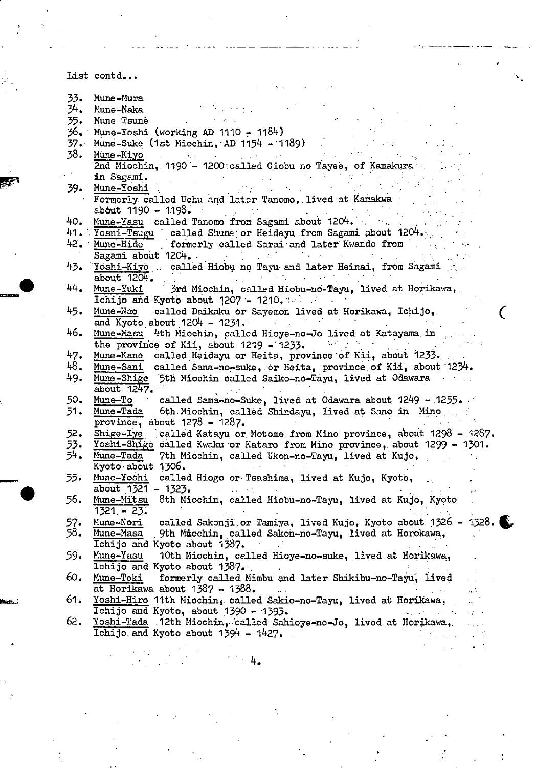List contd...

- 33. Mime -Mura
- 34. Mune-Naka :-
- 35. Mune Tsunè<br>36. Mune-Yoshi
- 36. Mune-Yoshi (working AD 1110 1184)<br>37. Mune-Suke (1st Miochin, AD 1154 11
- 37. Mune-Suke (1st Miochin, AD 1154 1189) .<br>38. <u>Mune-Kiyo</u>
- 38. Müne-Kiyo, . ... .. I .- .. . . 2nd Miochin, 1190 - 1200:called Giobu no Tayee, of Kamakura. in Sagami.<br>in Sagami.<br>Mune-Yoshi
- $39.$ Mune-Yoshi
	- Formerly called Uchu and later Tanomo, lived at Kamakwa . about 1190 - 1198.
- 40. <u>Mune-Yasu</u> called Tanomo from Sagami about 1204. . . . . . . .
- 41. Yosni-Tsugu called Shune or Heidayu from Sagami about 1204... 42. Mune-Hide formerly called Sarai and later Kwando from
- Sagami about 1204.
- 43. Yoshi-Kiyo . . called Hiobu no Tayu and later Heinai, from Sagami  $\mathcal{L}_{\mathcal{A}}$  is the set of  $\mathcal{L}_{\mathcal{A}}$  . In the set of  $\mathcal{L}_{\mathcal{A}}$
- 1+4. Mune-Yuki 3rd Miochin, called Hiobu-nó-Tayu, lived at Horikawa, Ichijo and Kyoto about  $1207 - 1210$ . ...
- 45. Mune-Nao called Daikaku or Sayemon lived at Horikawa,. Ichijo, . ( and Kyoto about 1204 1231. . .. ,...
- 46. Mune-Masu 4th Miochin, palled Hioye-no-Jo lived at Katayana. in the province of Kii, about  $1219 - 1233$ .
- 47. Mune-Kane called Heidayu or Heita, province of Kii, about 1233.<br>48. Mune-Sani called Sana-no-suke, or Heita, province of Kii, about 1
- called Sana-no-suke, or Heita, province of Kii. about 1234. 49. Mune-Shige 5th Miochin called Saiko-no-Tayu, lived at Odawara
	- about  $1247.$
- 50. Mune-To called Sama-no-Suke, lived at Odawara about  $1249 1255$ .<br>51. Mune-Tada 6th Miochin, called Shindayu, lived at Sano in Mino
- 6th Miochin, called Shindayu, lived at Sano in Mino ... province, about  $1278 - 1287$ .
- 52. Shige-Iye called Katayu or Motome from Mino province, about  $1298 1287$ .
- 53. Yoshi-Shigé dalled Kwaku or Kataro from Mino province, about 1299 1301.<br>54. Mune-Tada 7th Miochin, called Ukon-no-Tayu, lived at Kujo,
- 7th Miochin, called Ukon-no-Tayu, lived at Kujo, Kyoto about  $1306.$
- 55. Mune-Yoshi called Hiogo or Tsashima, lived at Kujo, Kyoto, about 1321 1323.
- 56. Mune-Mitsu 8th Miochin, called Hiobu-no-Tayu, lived at Kujo, Kyoto 1321.- 23.
- 57. Mune-Nori called Sakonji or Tamiya, lived Kujo, Kyoto about 1326 1328.<br>58. <u>Mune-Masa</u> 9th Micchin, called Sakon-no-Tayu, lived at Horokawa, 9th Miochin, called Sakon-no-Tayu, lived at Horokawa, Ichijo and Kyoto about 1387.
- 59. Mune-Yasu 10th Miochin, called Hioye-no--suke, lived at Horikawa, Ichijo and Kyoto about 1387.
- 60. Mune-Toki formerly called Mimbu and later Shikibu-no-Tayu, lived at Horikawa about  $1387 - 1388$ .
- 61. Yoshi-Hiro 11th Miochin, called Sakio-no-Tayu, lived at Horikawa,<br>Ichijo and Kyoto, about 1390 1393.  $\overline{\text{Ichijo and }}}$  Kyoto, about 1390 - 1393.
- 62. Yoshi-Tada .12th Miochin,. called Sahioye-no-Jo, lived at Horjkawa,. Ichijo. and Kyoto about 1394 - 1427. . . .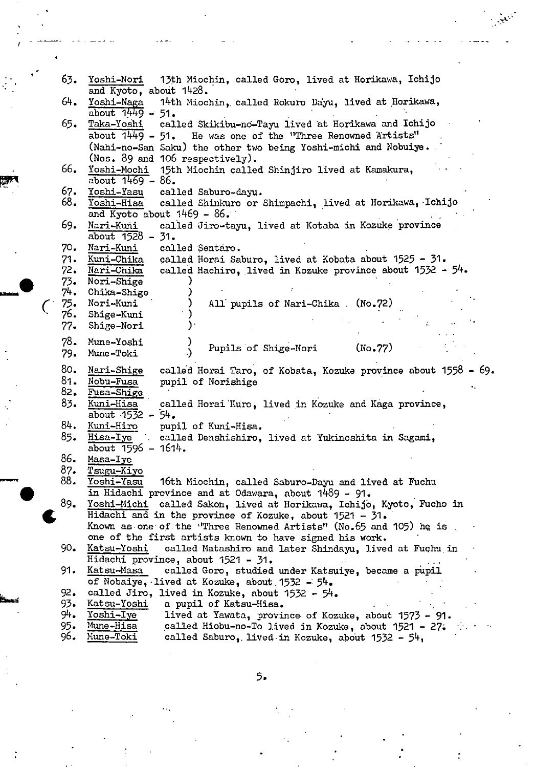| 63.           | Yoshi-Nori<br>13th Miochin, called Goro, lived at Horikawa, Ichijo<br>and Kyoto, about 1428.                                                                                                        |
|---------------|-----------------------------------------------------------------------------------------------------------------------------------------------------------------------------------------------------|
| 64.           | 14th Miochin, called Rokuro Dayu, lived at Horikawa,<br>Yoshi-Naga<br>about $1449 - 51$ .                                                                                                           |
| 65.           | called Skikibu-no-Tayu lived at Horikawa and Ichijo<br>Taka-Yoshi<br>about 1449 - 51. He was one of the "Three Renowned Artists"<br>(Nahi-no-San Saku) the other two being Yoshi-michi and Nobuiye. |
| 66.           | (Nos. 89 and 106 respectively).<br>Yoshi-Mochi 15th Miochin called Shinjiro lived at Kamakura,<br>about $1469 - 86$ .                                                                               |
| 67.<br>68.    | Yoshi-Yasu<br>called Saburo-dayu.<br>Yoshi-Hisa<br>called Shinkuro or Shimpachi, lived at Horikawa, Ichijo<br>and Kyoto about $1469 - 86$ .                                                         |
| 69.           | Nari-Kuni<br>called Jiro-tayu, lived at Kotaba in Kozuke province<br>about $1528 - 31$ .                                                                                                            |
| 70.           | Nari-Kuni<br>called Sentaro.                                                                                                                                                                        |
| 71.           | Kuni-Chika<br>called Horai Saburo, lived at Kobata about 1525 - 31.                                                                                                                                 |
|               | called Hachiro, lived in Kozuke province about 1532 - 54.<br>72. Nari-Chika                                                                                                                         |
|               | 73. Nori-Shige                                                                                                                                                                                      |
| 74.           | Chika-Shige                                                                                                                                                                                         |
|               | 75. Nori-Kuni<br>All pupils of Nari-Chika. (No.72)                                                                                                                                                  |
| 76.           | Shige-Kuni                                                                                                                                                                                          |
| 77.           | Shige-Nori                                                                                                                                                                                          |
| 78.<br>79.    | Mune-Yoshi<br>Pupils of Shige-Nori<br>(No.77)<br>Mune-Toki                                                                                                                                          |
|               |                                                                                                                                                                                                     |
| 80.           | called Horai Taro, of Kobata, Kozuke province about 1558 - 69.<br>Nari-Shige                                                                                                                        |
| 81.           | Nobu-Fusa<br>pupil of Norishige                                                                                                                                                                     |
| 82.           | Fusa-Shige                                                                                                                                                                                          |
| 83.           | Kuni-Hisa<br>called Horai Kuro, lived in Kozuke and Kaga province,                                                                                                                                  |
|               | about $15\overline{3}2 - 54$ .                                                                                                                                                                      |
| 84.           | Kuni-Hiro<br>pupil of Kuni-Hisa.                                                                                                                                                                    |
| 85.           | Hisa-Iye<br>called Denshishiro, lived at Yukinoshita in Sagami,<br>about $1596 - 1614$ .                                                                                                            |
| 86.           | Masa-Iye                                                                                                                                                                                            |
| 87.           | Tsugu-Kiyo                                                                                                                                                                                          |
| 88.           | Yoshi-Yasu<br>16th Miochin, called Saburo-Dayu and lived at Fuchu                                                                                                                                   |
|               | in Hidachi province and at Odawara, about 1489 - 91.                                                                                                                                                |
| 89.           | Yoshi-Michi called Sakon, lived at Horikawa, Ichijo, Kyoto, Fucho in                                                                                                                                |
|               | Hidachi and in the province of Kozuke, about 1521 - 31.                                                                                                                                             |
|               | Known as one of the "Three Renowned Artists" (No. 65 and 105) he is.                                                                                                                                |
|               |                                                                                                                                                                                                     |
|               | one of the first artists known to have signed his work.                                                                                                                                             |
| 90.           | called Matashiro and later Shindayu, lived at Fuchu in<br>Katsu-Yoshi                                                                                                                               |
|               | Hidachi province, about 1521 - 31.                                                                                                                                                                  |
| 91.           | Katsu-Masa<br>called Goro, studied under Katsuiye, became a pupil                                                                                                                                   |
|               | of Nobaiye, lived at Kozuke, about $1532 - 54$ .                                                                                                                                                    |
| 92.           | called Jiro, lived in Kozuke, about 1532 - 54.                                                                                                                                                      |
| 93.           | Katsu-Yoshi<br>a pupil of Katsu-Hisa.                                                                                                                                                               |
| 94.           | Yoshi-Iye<br>lived at Yawata, province of Kozuke, about 1573 - 91.                                                                                                                                  |
| $95 -$<br>96. | Mune-Hisa<br>called Hiobu-no-To lived in Kozuke, about 1521 - 27.<br>Mune-Toki<br>called Saburo, lived in Kozuke, about 1532 - 54,                                                                  |

 $\bullet$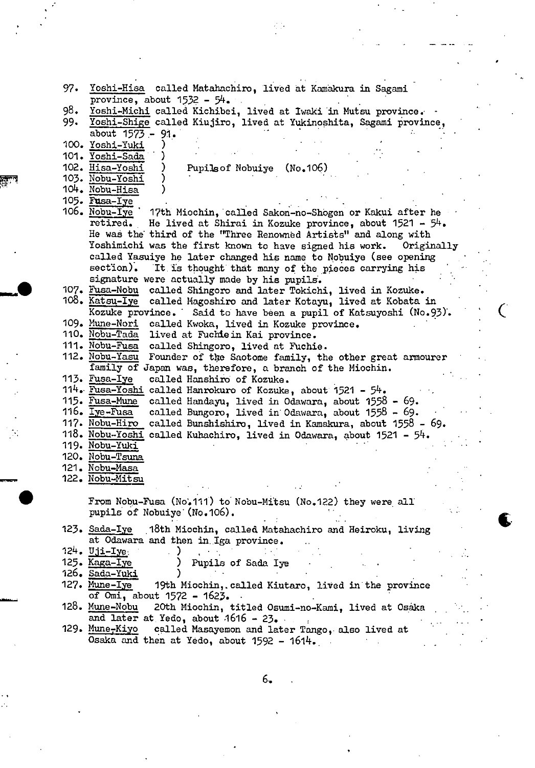|  | 97. Yoshi-Hisa called Matahachiro, lived at Kamakura in Sagami                                                                                                                                                                                        |
|--|-------------------------------------------------------------------------------------------------------------------------------------------------------------------------------------------------------------------------------------------------------|
|  | province, about $1532 - 54$ .                                                                                                                                                                                                                         |
|  | 98. Yoshi-Michi called Kichibei, lived at Iwaki in Mutsu province.                                                                                                                                                                                    |
|  |                                                                                                                                                                                                                                                       |
|  | 99. Yoshi-Shige called Kiujiro, lived at Yukinoshita, Sagami province,                                                                                                                                                                                |
|  | about 1573 - 91.                                                                                                                                                                                                                                      |
|  | 100. Yoshi-Yuki                                                                                                                                                                                                                                       |
|  | 101. Yoshi-Sada                                                                                                                                                                                                                                       |
|  | 102. Hisa-Yoshi<br>Pupils of Nobuiye<br>(No.106)                                                                                                                                                                                                      |
|  | 103. Nobu-Yoshi                                                                                                                                                                                                                                       |
|  |                                                                                                                                                                                                                                                       |
|  | 104. Nobu-Hisa                                                                                                                                                                                                                                        |
|  | 105. Fusa-Iye                                                                                                                                                                                                                                         |
|  | $106.$ Nobu-Lye<br>17th Miochin, called Sakon-no-Shogen or Kakui after he                                                                                                                                                                             |
|  | retired.<br>He lived at Shirai in Kozuke province, about $1521 - 54$ .                                                                                                                                                                                |
|  | He was the third of the "Three Renowned Artists" and along with                                                                                                                                                                                       |
|  | Yoshimichi was the first known to have signed his work.<br>Originally                                                                                                                                                                                 |
|  | called Yasuiye he later changed his name to Nobuiye (see opening                                                                                                                                                                                      |
|  |                                                                                                                                                                                                                                                       |
|  | $section)$ .<br>It is thought that many of the pieces carrying his                                                                                                                                                                                    |
|  | signature were actually made by his pupils.                                                                                                                                                                                                           |
|  | 107. Fusa-Nobu called Shingoro and later Tokichi, lived in Kozuke.                                                                                                                                                                                    |
|  | 108. Katsu-Iye<br>called Magoshiro and later Kotayu, lived at Kobata in                                                                                                                                                                               |
|  | Kozuke province. Said to have been a pupil of Katsuyoshi (No.93).                                                                                                                                                                                     |
|  | 109. Mune-Nori called Kwoka, lived in Kozuke province.                                                                                                                                                                                                |
|  | 110. Nobu-Tada<br>lived at Fuchie in Kai province.                                                                                                                                                                                                    |
|  | 111. Nobu-Fusa                                                                                                                                                                                                                                        |
|  | called Shingoro, lived at Fuchie.                                                                                                                                                                                                                     |
|  | 112. Nobu-Yasu<br>Founder of the Saotome family, the other great armourer                                                                                                                                                                             |
|  | family of Japan was, therefore, a branch of the Miochin.                                                                                                                                                                                              |
|  | 113. Fusa-Iye<br>called Hanshiro of Kozuke.                                                                                                                                                                                                           |
|  | 114. Fusa-Yoshi called Hanrokuro of Kozuke, about 1521 - 54.                                                                                                                                                                                          |
|  | 115. Fusa-Mune<br>called Handayu, lived in Odawara, about 1558 - 69.                                                                                                                                                                                  |
|  | 116. Iye-Fusa<br>called Bungoro, lived in Odawara, about 1558 - 69.                                                                                                                                                                                   |
|  | 117. Nobu-Hiro<br>called Bunshishiro, lived in Kamakura, about 1558 - 69.                                                                                                                                                                             |
|  |                                                                                                                                                                                                                                                       |
|  | 118. Nobu-Yoshi called Kuhachiro, lived in Odawara, about 1521 - 54.                                                                                                                                                                                  |
|  | 119. Nobu-Yuki                                                                                                                                                                                                                                        |
|  | 120. Nobu-Tsuna                                                                                                                                                                                                                                       |
|  | 121. Nobu-Masa                                                                                                                                                                                                                                        |
|  | 122. Nobu-Mitsu                                                                                                                                                                                                                                       |
|  | $\mathcal{L}^{\mathcal{L}}$ and $\mathcal{L}^{\mathcal{L}}$ are the set of the set of the set of the set of the set of the set of the set of the set of the set of the set of the set of the set of the set of the set of the set of the set of the s |
|  | From Nobu-Fusa (No.111) to Nobu-Mitsu (No.122) they were all                                                                                                                                                                                          |
|  | pupils of Nobuiye (No.106).                                                                                                                                                                                                                           |
|  |                                                                                                                                                                                                                                                       |
|  | 123. Sada-Iye 18th Miochin, called Matahachiro and Heiroku, living                                                                                                                                                                                    |
|  | at Odawara and then in Iga province.                                                                                                                                                                                                                  |
|  | $124.$ Uji-Iye<br>$\mathcal{L}_{\text{max}}$ , where $\mathcal{L}_{\text{max}}$                                                                                                                                                                       |
|  |                                                                                                                                                                                                                                                       |
|  | 125. Kaga-Iye<br><b>Pupils of Sada Iye</b><br>$\sim 10^6$                                                                                                                                                                                             |
|  | 126. Sada-Yuki                                                                                                                                                                                                                                        |
|  | 127. Mune-Iye<br>19th Miochin, called Kiutaro, lived in the province                                                                                                                                                                                  |
|  | of $Omi$ , about $1572 - 1623$ .                                                                                                                                                                                                                      |
|  | 128. Mune-Nobu<br>20th Miochin, titled Osumi-no-Kami, lived at Osaka                                                                                                                                                                                  |
|  | and later at Yedo, about $.1616 - 23$ .                                                                                                                                                                                                               |
|  | 129. Mune-Kiyo<br>called Masayemon and later Tango, also lived at                                                                                                                                                                                     |
|  | Osaka and then at Yedo, about 1592 - 1614.                                                                                                                                                                                                            |
|  |                                                                                                                                                                                                                                                       |

 $\overline{C}$ 

 $\mathbf{L}$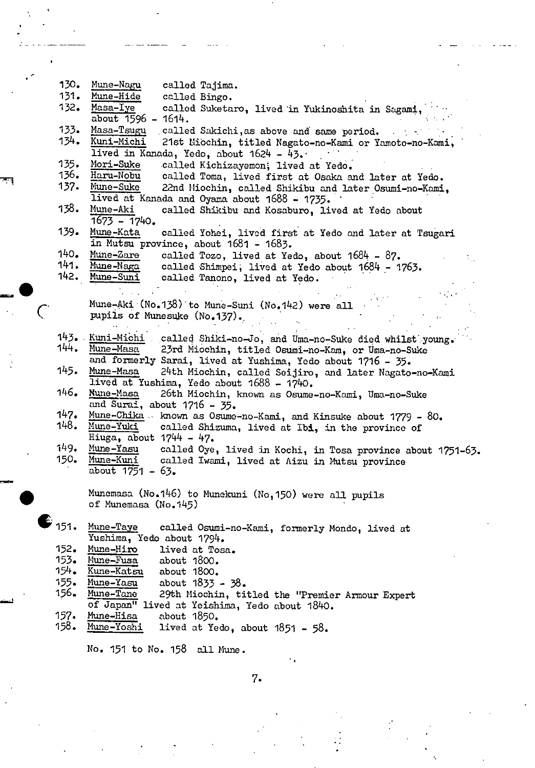| 130.         | Mune-Nagu<br>called Tajima.                                                           |
|--------------|---------------------------------------------------------------------------------------|
| 131.         | Mune-Hide<br>called Bingo.                                                            |
| 132.         | Masa-Iye<br>called Suketaro, lived in Yukinoshita in Sagami,                          |
|              | about $1596 - 1614$ .                                                                 |
| 133.         | Masa-Tsugu called Sakichi, as above and same period.                                  |
| 134.         | Kuni-Michi<br>21st Miochin, titled Nagato-no-Kami or Yamoto-no-Kami,                  |
|              | lived in Kanada, Yedo, about 1624 - 43.                                               |
| 135.         | Mori-Suke<br>called Kichizayemon; lived at Yedo.                                      |
| 136.         | Haru-Nobu<br>called Toma, lived first at Osaka and later at Yedo.                     |
| 137.         | Mune-Suke<br>22nd Miochin, called Shikibu and later Osumi-no-Kami,                    |
|              | lived at Kanada and Oyama about 1688 - 1735.                                          |
| 138.         | Mune-Aki<br>called Shikibu and Kosaburo, lived at Yedo about                          |
|              | $1673 - 1740.$                                                                        |
| 139.         | Mune-Kata<br>called Yohei, lived first at Yedo and later at Tsugari                   |
|              | in Mutsu province, about 1681 - 1683.                                                 |
| 140.         | Mune-Zare<br>called Tozo, lived at Yedo, about $1684 - 87$ .                          |
| 141.         | Mune-Naga<br>called Shimpei, lived at Yedo about 1684 - 1763.                         |
|              | 142. Mune-Suni<br>called Tanono, lived at Yedo.                                       |
|              |                                                                                       |
|              | Mune-Aki (No.138) to Mune-Suni (No.142) were all                                      |
|              | pupils of Munesuke (No.137).                                                          |
|              |                                                                                       |
|              | 143. Kuni-Michi<br>called Shiki-no-Jo, and Uma-no-Suke died whilst young.             |
| 144.         | Mune-Masa<br>23rd Miochin, titled Osumi-no-Kam, or Uma-no-Suke                        |
|              | and formerly Sarai, lived at Yushima, Yedo about 1716 - 35.                           |
| 145.         | Mune-Masa<br>24th Miochin, called Seijiro, and later Nagato-no-Kami                   |
|              | lived at Yushima, Yedo about 1688 - 1740.                                             |
| 146.         | Nune-Masa<br>26th Miochin, known as Osume-no-Kami, Uma-no-Suke                        |
|              | and Surai, about $1716 - 35$ .                                                        |
| 147.<br>148. | Mune-Chika - known as Osume-no-Kami, and Kinsuke about 1779 - 80.                     |
|              | Mune-Yuki<br>called Shizuma, lived at Ibi, in the province of                         |
| 149.         | Hiuga, about $1744 - 47$ .                                                            |
| 150.         | Mune-Yasu<br>called Oye, lived in Kochi, in Tosa province about 1751-63.<br>Mune-Kuni |
|              | called Iwami, lived at Aizu in Mutsu province<br>about $1751 - 63$ .                  |
|              |                                                                                       |
|              | Munemasa (No.146) to Munekuni (No, 150) were all pupils                               |
|              | of Munemasa (No.145)                                                                  |
|              |                                                                                       |
| $E_{151}$    | Mune-Taye<br>called Osumi-no-Kami, formerly Mondo, lived at                           |
|              | Yushima, Yedo about 1794.                                                             |
| 152.         | Mune-Hiro<br>lived at Tosa.                                                           |
| 153.         | Mune-Fusa<br>about 1800.                                                              |
| 154.         | Kune-Katsu<br>about 1800.                                                             |
| 155.         | Mune-Yasu<br>about $1833 - 38$ .                                                      |
| 156.         | Mune-Tane<br>29th Miochin, titled the "Premier Armour Expert                          |
|              | of Japan" lived at Yeishima, Yedo about 1840.                                         |
| 157.         | Mune-Hisa<br>about 1850.                                                              |
| 158.         | Mune-Yoshi<br>lived at Yedo, about $1851 - 58$ .                                      |
|              |                                                                                       |
|              | No. 151 to No. 158 all Mune.                                                          |

7.

 $\begin{bmatrix} 1 \\ 1 \\ 1 \end{bmatrix}$ 

r L

 $\frac{1}{\sqrt{2}}$ 

لنعقد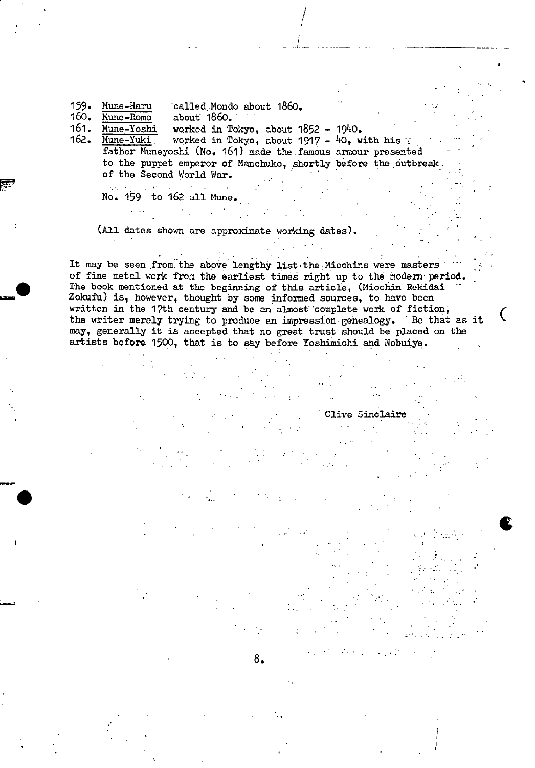159. Mune-Haru called Mondo about 1860.<br>160. Mune-Romo about 1860.

160. <u>Kune-Romo</u> about 1860.<br>161. Mune-Yoshi worked in To 161. Mune-Yoshi worked in Tokyo, about 1852 - 1940.<br>162. Mune-Yuki worked in Tokyo, about 1917 - 40, w worked in Tokyo, about 1917 -  $40$ , with his father Muneyoshi (No. 161) made the famous amour presented to the puppet emperor of Manchuko, shortly before the outbreak. of the Second World War.

I

No. 159 to 162 all Mune.

 $\mathcal{L}_{\text{max}}$ 

 $\mathcal{L}(\mathcal{E})$  and  $\mathcal{E}(\mathcal{E})$ 

as

(All dates shown are approximate working dates).

It may be seen from the above lengthy list the Miochins were masters of fine metal work from the earliest times right up to the modern period. The book mentioned at the beginning of this article, (Miochin Rekidai Zokufu) **is,** however, thought by some informed sources, to have been written in the 17th century and be an almost complete work of fiction; the writer merely trying to produce an impression gehealogy. Be that as it may, generally it is accepted that no great trust should be placed on the artists before 1500, that is to say before Yoshimichi and Nobuiye.

- 11

 $\mathcal{L}^{\mathcal{L}}$ 

Clive Sinclaire

 $\bullet$ 

C

4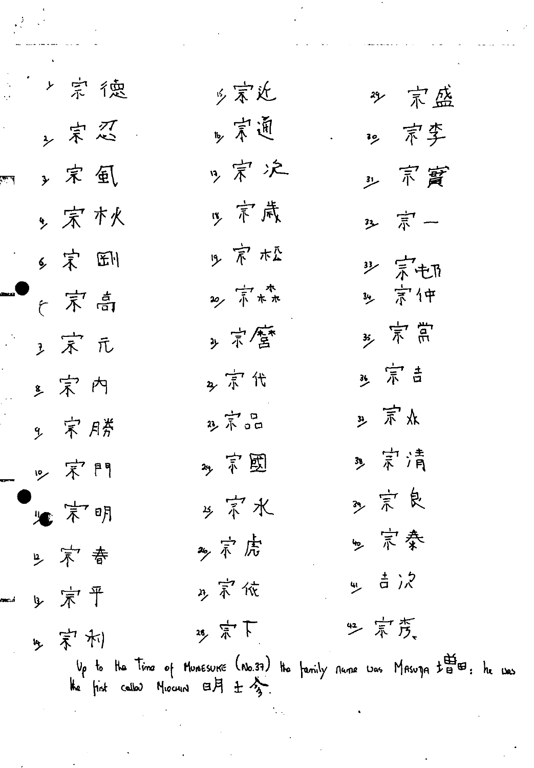| と宗徳    | 乡宗近     | 沙 京盛                                                                                                                                                                                             |
|--------|---------|--------------------------------------------------------------------------------------------------------------------------------------------------------------------------------------------------|
| ,宗忍。   | 15 京通   | 29. 京李                                                                                                                                                                                           |
| , 宋国   | g 宗 汔   | 3) 京買                                                                                                                                                                                            |
| , 宋 木火 | 15 京歲   | 3 京一                                                                                                                                                                                             |
| 乡宋国    | 少京松     |                                                                                                                                                                                                  |
| 广京高    | 20, 市木  | <b>罗宗屯</b>                                                                                                                                                                                       |
| 3 宋 元  | ,京套     | * 京荒                                                                                                                                                                                             |
| "宋内    | 2 京代    | 35 宗吉                                                                                                                                                                                            |
| 9. 宋辟  | 3) 市品   | ,宗水                                                                                                                                                                                              |
| 10 宋門  | 2 京國    | 39. 宗清                                                                                                                                                                                           |
| "一下明   | 乡京水     | 39. 京良                                                                                                                                                                                           |
| 2 京春   | 26, ボ 応 | 乡 宗奏                                                                                                                                                                                             |
| 9 京平   | 2 京依    | w   금 ) <i>2</i>                                                                                                                                                                                 |
| 4 宋利   | 25 宗下   | 些宗彦,                                                                                                                                                                                             |
|        |         | Up to the Time of Munesurie (No.37) the family nume was MAsuga $t^{\frac{11}{10}}$ $t^{\frac{11}{10}}$ of Munesurie (No.37) the family nume was MAsuga $t^{\frac{11}{10}}$ $t^{\frac{11}{10}}$ . |

دهنا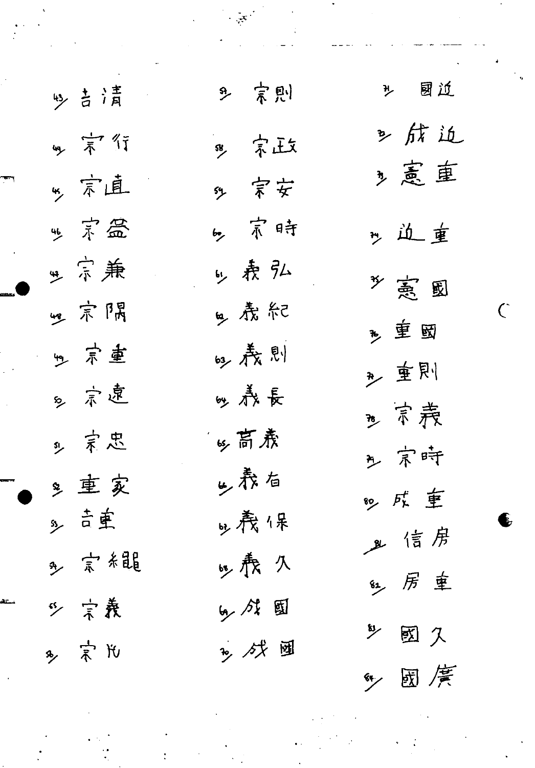| 9> 吉清 | 9. 京則   | <sup>, 國道</sup> |
|-------|---------|-----------------|
| 3年行   | 。 京政    | 2 航近            |
| "京直   | 3 宗安    | 2 意車            |
| "京盒   | 5. 京時   | my 边重           |
| 典宗兼   | 5. 表弘   | 乡 亮 园           |
| 四宗隅   | y 焘紀    | 乡重囡             |
| 9. 京重 | 吗春則     | "重則             |
| 8. 京連 | 吵养長     | " 京義            |
| 2 京忠  | sy 高焘   | 乡 宗時            |
| 多重家   | 少表右     | 80 成重           |
| s, 吉重 | o, 麂保   | 业信房             |
| ↑ 宗 結 | 15. 赉 久 | 红 房 車           |
| 5 宗義  | 5人人国    | 3) 國久           |
| 8,宗氏  | 2, 残画   | "人國廣            |

 $\frac{1}{\sqrt{2}}$ 

 $\overline{C}$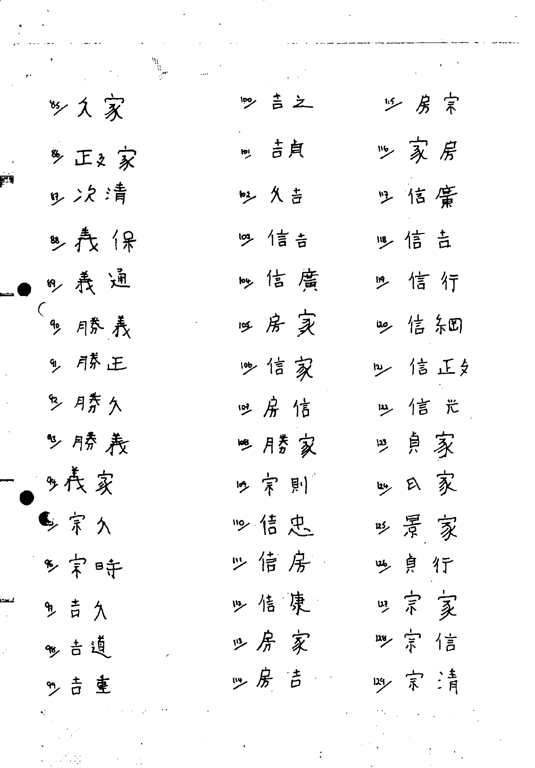| 多久家          | 189 吉之  | 15 房宗    |
|--------------|---------|----------|
| 多正文家         | my 吉貞   | 必家房      |
| ,次清          | 2 久吉    | 2 信備     |
| 8) 焘 保       | 19 信吉   | 113 信吉   |
| 8, 焘通        | 吵信磨     | 19 信行    |
| (<br>90 月券 義 | 哑房实     | 30 信糸町   |
| 9. 月茶正       | 吵信家     | 2 信正夕    |
| 多摩久          | 吐房信     | 13 信 光   |
| 多膝表          | 188 月芳家 | 巴貞家      |
| 9,長家         | 19. 京則  | 1gy 曰 家  |
| 多宗久          | 19信忠    | 115 景 家  |
| 多宋時          | 必信房     | 吵貞行      |
| 9. 吉久        | 必佶康     | 四宗 亥     |
| %古道          | 必房家     | 128 宗 信  |
| m 吉 重        | ヅ房吉     | 1.39 京 清 |
|              |         |          |

 $\label{eq:2.1} \frac{1}{\sqrt{2}}\left(\frac{1}{\sqrt{2}}\right)^{2} \left(\frac{1}{\sqrt{2}}\right)^{2} \left(\frac{1}{\sqrt{2}}\right)^{2} \left(\frac{1}{\sqrt{2}}\right)^{2} \left(\frac{1}{\sqrt{2}}\right)^{2} \left(\frac{1}{\sqrt{2}}\right)^{2} \left(\frac{1}{\sqrt{2}}\right)^{2} \left(\frac{1}{\sqrt{2}}\right)^{2} \left(\frac{1}{\sqrt{2}}\right)^{2} \left(\frac{1}{\sqrt{2}}\right)^{2} \left(\frac{1}{\sqrt{2}}\right)^{2} \left(\$ 

 $\sim 10^6$ 

 $\ddot{\cdot}$ 

 $\frac{1}{2} \sum_{i=1}^{n} \frac{1}{2} \sum_{j=1}^{n} \frac{1}{2} \sum_{j=1}^{n} \frac{1}{2} \sum_{j=1}^{n} \frac{1}{2} \sum_{j=1}^{n} \frac{1}{2} \sum_{j=1}^{n} \frac{1}{2} \sum_{j=1}^{n} \frac{1}{2} \sum_{j=1}^{n} \frac{1}{2} \sum_{j=1}^{n} \frac{1}{2} \sum_{j=1}^{n} \frac{1}{2} \sum_{j=1}^{n} \frac{1}{2} \sum_{j=1}^{n} \frac{1}{2} \sum_{j=1}^{n$ 

 $\mathcal{L}(\mathbf{z})$  and  $\mathcal{L}(\mathbf{z})$ 

 $\mathcal{L}_{\text{max}}$ 

ر<br>مسجد و المد

 $\mathcal{L}_{\mathcal{A}}$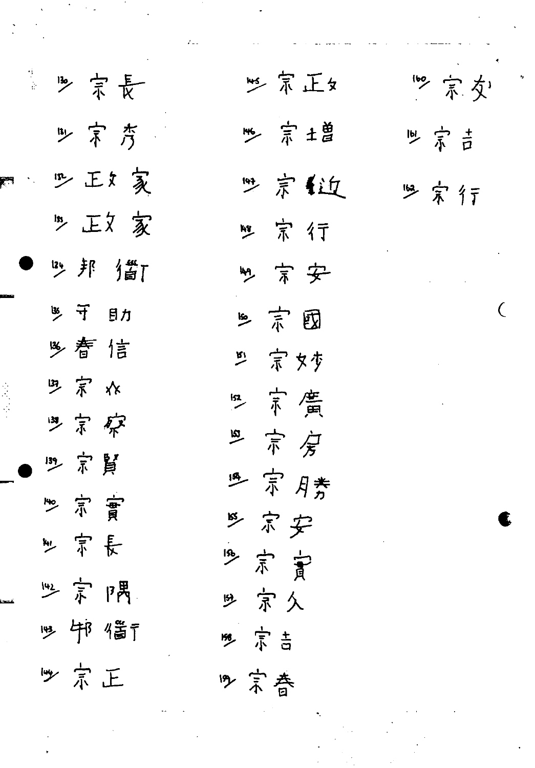| 生<br>金             | 3 宗長               |  |
|--------------------|--------------------|--|
|                    | B 京 斉              |  |
| $\mathbf{F}^{(1)}$ | 四王友                |  |
|                    | "正文家               |  |
|                    | 3 邦 當              |  |
|                    | 35 节 目力            |  |
|                    | 多营信                |  |
|                    | ツ 宗 水              |  |
|                    | 9.京家               |  |
|                    | 13 宗賢              |  |
|                    | 宗實<br>mo<br>K      |  |
|                    | 宗長<br>سيلا         |  |
|                    | 32 京 隅             |  |
|                    | 19 邻 偕             |  |
|                    | 京正<br>$\mathbb{F}$ |  |

15 宗正女 3 京土曽 9 宗 1近 四宗行 ツ 京 安 三京园 兰 宗文少 152 京廣 "京房 19 京月秀 三京安 19 京宣 9 京久 5 京吉 9 京春

19 京交 161 京吉 些宗行

 $\overline{C}$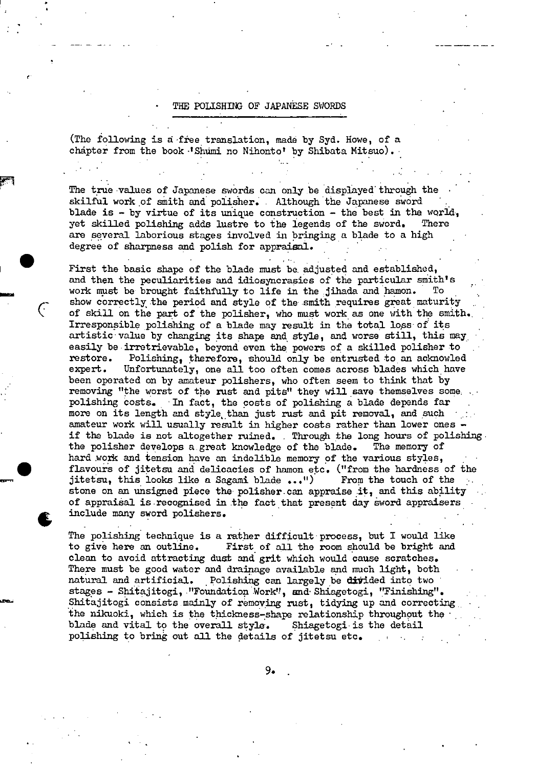## THE POLISHING OF JAPANESE SWORDS

(The following is a free translation, made by Syd. Howe, of a chapter from the book 'Shumi no Nihonto' by Shibata Mitsuo).

The true values of Japanese swords can only be displayed through the skilful work of smith and polisher. . Although the Japanese sword blade is - by virtue of its unique construction - the best in the world, yet skilled polishing adds lustre to the legends of the sword. There yet skilled polishing adds lustre to the legends of the sword. are several laborious stages involved in bringing a blade to a high degree of sharpness and polish for appraisal.

First the basic shape of the blade must be. adjusted and established, and then the peculiarities and idiosyncrasies of the particular smith's work must be brought faithfully to life in the jihada and hamon. To show correctly the period and style of the smith requires great maturity of skill on the part of the polisher, who must work as one with the smith. Irresponsible polishing of a blade may result in the total loss of its artistic value by changing **its** shape and style, and worse still, this may easily be irretrievable, beyond even the powers of a skilled polisher to restore. Polishing, therefore, should only be entrusted to an acknowled expert. Unfortunately, one all too often comes across blades which have been operated on by amateur polishers, who often seem to think that by removing "the worst of the rust and pits" they will save themselves some; polishing costs. In fact, the costs of polishing a blade depends far more on its length and style than just rust and pit removal, and such amateur work will usually result in higher costs rather than lower ones if the blade is not altogether ruined. Through the long hours of polishing the polishing the polishing the polishing. the polisher develops a great knowledge of the blade. hard work and tension have an indelible memory of the various styles, flavours of jitetsu and delicacies of hamon etc. ("from the hardness of the jitetsu, this looks like a Sagami blade  $\ldots$ .  $\blacksquare$  From the touch of the stone on an unsigned piece the polisher can appraise it, and this ability of appraiàal **is** recognised in the fact that present day sword appraisers include many sword polishers. .

The polishing technique **is** a rather difficult process, but I would **like**  to give here an outline. First of all the room should be bright and clean to avoid attracting dust and grit which would cause scratches. There must be good water and drainage available and much light, both natural and artificial. Polishing can largely be **ditided** into two stages - Shitajitogi, "Foundation Work", and Shiagetogi, "Finishing". Shitajitogi consists mainly of removing rust, tidying up and correcting. the nikuoki, which **is** the thickness-shape relationship throughput the • blade and vital to the overall style. Shiagetogi **is** the detail polishing to bring out all the details of jitetsu etc.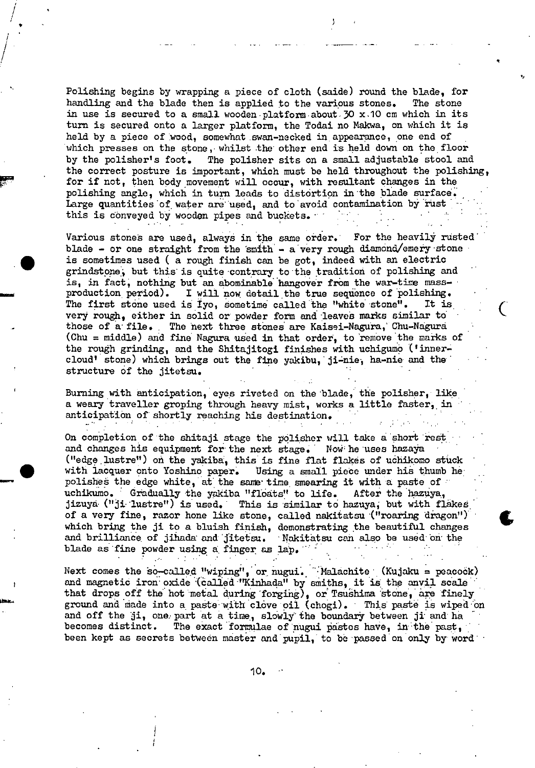Polishing begins by wrapping a piece of cloth (saide) round the blade, for handling and the blade then is applied to the various stones. The stone in use is secured to a small wooden-platform about  $30 \times 10$  cm which in its turn is secured onto a larger platform, the Todai no Makwa, on which it is held by a piece of wood, somewhat swan-necked in appearance, one end of which presses on the stone, whilst the other end is held down on the floor<br>by the polisher's foot. The polisher sits on a small adjustable stool and The polisher sits on a small adjustable stool and the correct posture is important, which must be held throughout the polishing, for if not, then body movement will occur, with resultant changes in the polishing angle, which *in* turn leads to distortion in the blade surface. Large quantities of water are used, and to avoid contamination by rust this is conveyed by wooden pipes and buckets.

'1

Various stones are used, always in the same order. For the heavily rusted blade - or one straight from the smith - a very rough diamond/emery stone is sometimes used ( a rough finish can be got, indeed with an electric grindstone, but this is quite contrary to the tradition of polishing and is, in fact; nothing but an abominable hangover from the war-tine massproduction period). I will now detail the true sequence of polishing.<br>The first stone used is Ivo. sometime called the "white stone". It is The first stone used is Iyo, sometime called the "white stone". very rough, either in solid or powder form and leaves marks similar to those of a-file. The next three stones are Kaisei-Nagura, Chu-Nagura (Chu = middle) and fine Nagura used in that order, to 'remove the marks of the rough grinding, and the Shitajitogi finishes with uchigumo ('innercloud' stone) which brings out the fine yakibu, ji-nie, ha-nie and the structure of the jitetsu.

Burning with anticipation, eyes riveted on the blade, the polisher, like a weary traveller groping through heavy mist, works a little faster, in anticipation of shortly reaching his destination.

On completion of the shitaji stage the polisher will take a short rest and changes his equipment for the next stage. Now he uses hazaya ("edge lustre") on the yakiba, this is fine flat flakes of uchikomo stuck with lacquer onto Yoshino paper. Using a small piece under his thumb he: polishes the edge white, at the same time smearing it with a paste of uchikumo. Gradually the yakiba "floats" to life. After the hazuya, uchikumo. Gradually the yakiba "floats" to life.<br>jizuya ("ji lustre") is used. This is similar to This is similar to hazuya, but with flakes of a very fine, razor hone like stone, called nakitatsu ("roaring dragon") (which bring the ji to a bluish finish, demonstrating the beautiful changes which bring the ji to a bluish finish, demonstrating the beautiful changes and brilliance of jihada and jitetsu. Nakitatsu can also be used on the blade as fine powder using a finger as lap.

Next comes the so-called "wiping", or nugui. Malachite (Kujaku = peacock) and magnetic iron oxide (called "Kinhada" by smiths, it is the anvil scale that drops off the hot metal during  $forging)$ , or Tsushima stone, are finely ground and made into a paste with clove oil (chogi). This paste is wiped on and off the ji, one part at a time, slowly the boundary between ji and ha becomes distinct. The exact formulae of nugui pastes have, in the past, The exact formulae of nugui pastes have, in the past, been kept as secrets between master and pupil, to be passed on only by word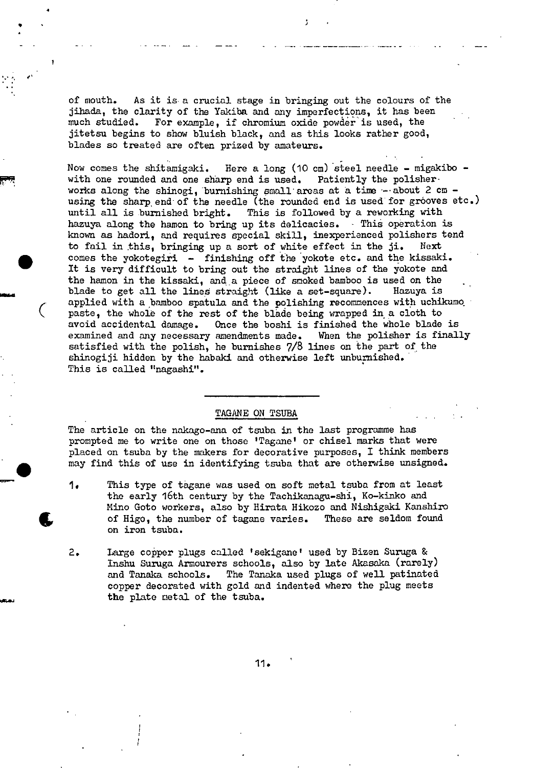of mouth. As it is a crucial stage in bringing out the colours of the jihada, the clarity of the Yakiba and any imperfections, it has been much studied. For example, if chromiun oxide powder is used, the jitetsu begins to show bluish black, and as this looks rather good, blades so treated are often prized by amateurs.

5

Now comes the shitamigaki. Here a long (10 cm) steel needle - migakibo - with one rounded and one sharp end is used. Patiently the polisher with one rounded and one sharp end is used. works along the shinogi, burnishing small areas at a time  $-$  about 2 cm  $$ using the sharp end of the needle (the rounded end is used for grooves etc.) until all is burnished bright. This is followed by a reworking with hazuya along the hamon to bring up its delicacies. This operation is known as hadori, and requires special skill, Inexperienced polishers tend to fail in this, bringing up a sort of white effect in the ji. Next comes the yokotegiri - finishing off the yokote etc. and the kissaki. It is very difficult to bring out the straight lines of the yokote and the hamon in the kissaki, and a piece of smoked bamboo is used on the blade to get all the lines straight (like a set-square). Hazuya is applied with a bamboo spatula and the polishing recommences with uchikumo paste, the whole of the rest of the blade being wrapped in a cloth to avoid accidental damage. Once the boshi is finished the whole blade Once the boshi is finished the whole blade is examined and any necessary amendments made. When the polisher is finally satisfied with the polish, he burnishes 7/8 lines on the part of the shinogiji hidden by the habaki and otherwise left unburnished. This is called "nagashi".

#### TAGANE ON TSUBA

 $\epsilon$ 

 $\blacksquare$ 

4

**t**

The article on the nakago-ana of tsuba in the last programme has prompted me to write one on those 'Tagane' or chisel marks that were placed on tsuba by the makers for decorative purposes, I think members may find this of use in identifying tsuba that are otherwise unsigned.

- 1. This type of tagane was used on soft metal tsuba from at least the early 16th century by the Tachikanagu-shi, Ko-kinko and Mino Goto workers, also by Hirata Hikozo and Nishigaki Kanshiro of Higo, the number of tagane varies. These are seldom found on iron tsuba.
- 2. Large coper plugs called 'sekigane' used by Bizen Buruga & Inshu Suruga Armourers schools, also by late Akasaka (rarely) and Tanaka schools. The Tanaka used plugs of well patinated copper decorated with gold and indented where the plug meets the plate metal of the tsuba.

11.

I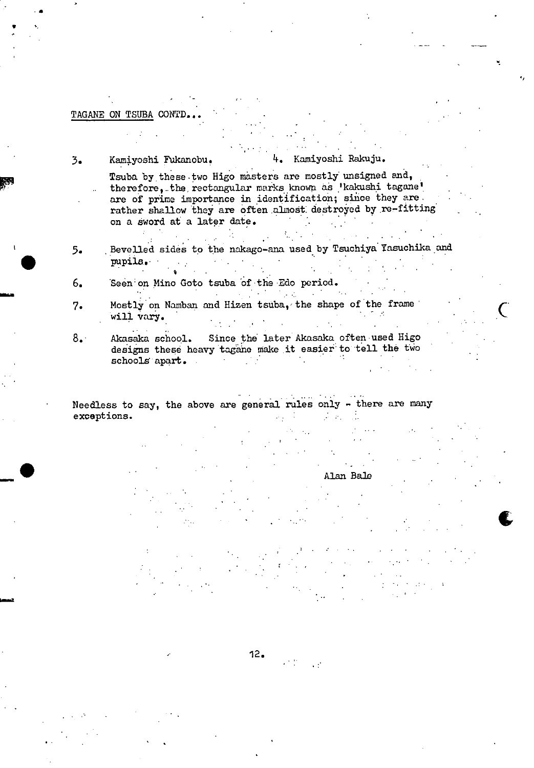# TAGANE ON TSUBA CONTD

Kamiyoshi Fukanobu.  $\mathfrak{Z}_{\bullet}$ 

Kamiyoshi Rakuju. 4.

Tsuba by these two Higo masters are mostly unsigned and, therefore, the rectangular marks known as 'kakushi tagane' are of prime importance in identification; since they are rather shallow they are often almost destroyed by re-fitting on a sword at a later date. √.<br>N

Bevelled sides to the nakago-ana used by Tsuchiya Yasuchika and 5. pupils.

Seen on Mino Goto tsuba of the Edo period.  $6.$ 

- Mostly on Namban and Hizen tsuba, the shape of the frame  $7.$ will vary.
- Akasaka school. Since the later Akasaka often used Higo  $8.1$ designs these heavy tagane make it easier to tell the two schools apart. e in

Needless to say, the above are general rules only - there are many exceptions.  $\mathcal{A}^{\mathcal{A}}$  .  $\mathcal{L}^{\text{max}}_{\text{max}}$ 

Alan Bale

 $12.$  $\mathcal{L}^{(1)}$  . The  $\mathcal{L}^{(1)}$  $\mathbb{R}^{\mathbb{Z}^2}$